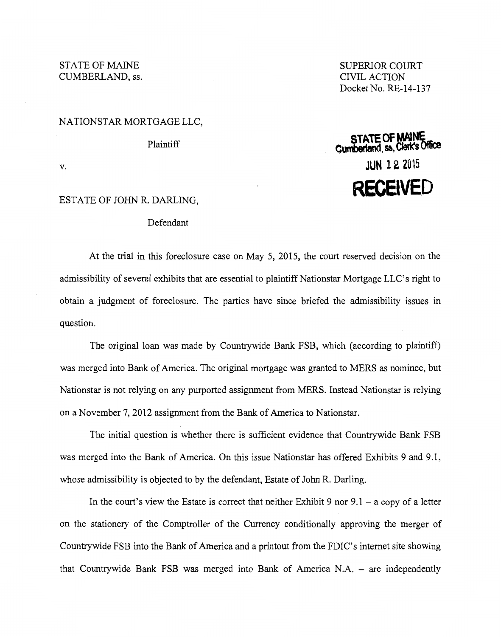STATE OF MAINE CUMBERLAND, ss.

SUPERIOR COURT CIVIL ACTION Docket No. RE-14-137

**STAlE Of MAiNE Cumbef1and.** ~~ **Cleft(s Mce JUN 12 2015** 

**RECEIVED** 

## NATIONSTAR MORTGAGE LLC,

Plaintiff

v.

## ESTATE OF JOHN R. DARLING,

## Defendant

At the trial in this foreclosure case on May 5, 2015, the court reserved decision on the admissibility of several exhibits that are essential to plaintiffNationstar Mortgage LLC's right to obtain a judgment of foreclosure. The parties have since briefed the admissibility issues in question.

The original loan was made by Countrywide Bank FSB, which (according to plaintiff) was merged into Bank of America. The original mortgage was granted to MERS as nominee, but Nationstar is not relying on any purported assignment from MERS. Instead Nationstar is relying on a November 7, 2012 assignment from the Bank of America to Nationstar.

The initial question is whether there is sufficient evidence that Countrywide Bank FSB was merged into the Bank of America. On this issue Nationstar has offered Exhibits 9 and 9.1, whose admissibility is objected to by the defendant, Estate of John R. Darling.

In the court's view the Estate is correct that neither Exhibit 9 nor  $9.1 - a$  copy of a letter on the stationery of the Comptroller of the Currency conditionally approving the merger of Countrywide FSB into the Bank of America and a printout from the FDIC's internet site showing that Countrywide Bank FSB was merged into Bank of America N.A. - are independently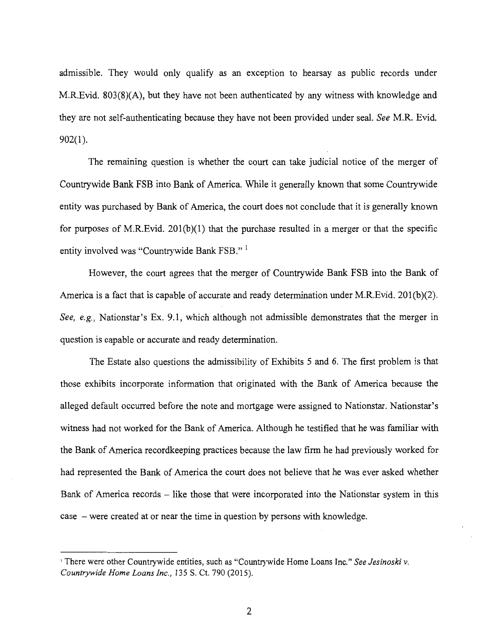admissible. They would only qualify as an exception to hearsay as public records under M.R.Evid. 803(8)(A), but they have not been authenticated by any witness with knowledge and they are not self-authenticating because they have not been provided under seal. *See* M.R. Evid. 902(1).

The remaining question is whether the court can take judicial notice of the merger of Countrywide Bank FSB into Bank of America. While it generally known that some Countrywide entity was purchased by Bank of America, the court does not conclude that it is generally known for purposes of M.R.Evid.  $201(b)(1)$  that the purchase resulted in a merger or that the specific entity involved was "Countrywide Bank FSB." 1

However, the court agrees that the merger of Countrywide Bank FSB into the Bank of America is a fact that is capable of accurate and ready determination under M.R.Evid. 201(b)(2). *See, e.g.,* Nationstar's Ex. 9.1, which although not admissible demonstrates that the merger in question is capable or accurate and ready determination.

The Estate also questions the admissibility of Exhibits 5 and 6. The first problem is that those exhibits incorporate information that originated with the Bank of America because the alleged default occurred before the note and mortgage were assigned to Nationstar. Nationstar's witness had not worked for the Bank of America. Although he testified that he was familiar with the Bank of America recordkeeping practices because the law firm he had previously worked for had represented the Bank of America the court does not believe that he was ever asked whether Bank of America records – like those that were incorporated into the Nationstar system in this case - were created at or near the time in question by persons with knowledge.

<sup>1</sup>There were other Countrywide entities, such as "Countrywide Home Loans Inc." *See Jesinoski v. Countrywide Home Loans Inc.,* 135 S. Ct. 790 (2015).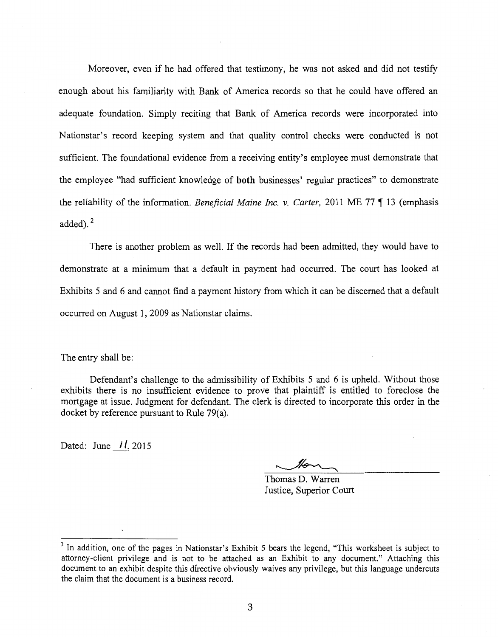Moreover, even if he had offered that testimony, he was not asked and did not testify enough about his familiarity with Bank of America records so that he could have offered an adequate foundation. Simply reciting that Bank of America records were incorporated into Nationstar's record keeping system and that quality control checks were conducted is not sufficient. The foundational evidence from a receiving entity's employee must demonstrate that the employee "had sufficient knowledge of **both** businesses' regular practices" to demonstrate the reliability of the information. *Beneficial Maine Inc. v. Carter*, 2011 ME 77 ¶ 13 (emphasis added).<sup>2</sup>

There is another problem as well. If the records had been admitted, they would have to demonstrate at a minimum that a default in payment had occurred. The court has looked at Exhibits 5 and 6 and cannot find a payment history from which it can be discerned that a default occurred on August 1, 2009 as Nationstar claims.

The entry shall be:

Defendant's challenge to the admissibility of Exhibits 5 and 6 is upheld. Without those exhibits there is no insufficient evidence to prove that plaintiff is entitled to foreclose the mortgage at issue. Judgment for defendant. The clerk is directed to incorporate this order in the docket by reference pursuant to Rule 79(a).

Dated: June  $11, 2015$ 

Thomas D. Warren Justice, Superior Court

 $<sup>2</sup>$  In addition, one of the pages in Nationstar's Exhibit 5 bears the legend, "This worksheet is subject to</sup> attorney-client privilege and is not to be attached as an Exhibit to any document." Attaching this document to an exhibit despite this directive obviously waives any privilege, but this language undercuts the claim that the document is a business record.